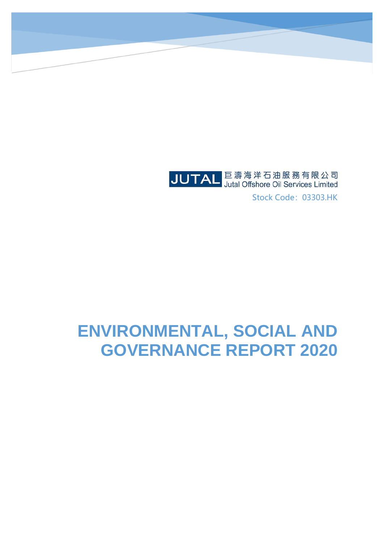

Stock Code: 03303.HK

# **ENVIRONMENTAL, SOCIAL AND GOVERNANCE REPORT 2020**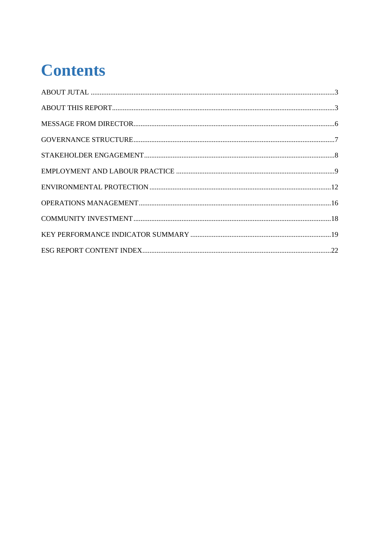# **Contents**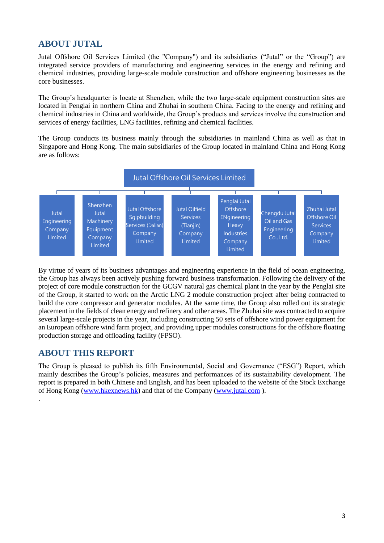# **ABOUT JUTAL**

Jutal Offshore Oil Services Limited (the "Company") and its subsidiaries ("Jutal" or the "Group") are integrated service providers of manufacturing and engineering services in the energy and refining and chemical industries, providing large-scale module construction and offshore engineering businesses as the core businesses.

The Group's headquarter is locate at Shenzhen, while the two large-scale equipment construction sites are located in Penglai in northern China and Zhuhai in southern China. Facing to the energy and refining and chemical industries in China and worldwide, the Group's products and services involve the construction and services of energy facilities, LNG facilities, refining and chemical facilities.

The Group conducts its business mainly through the subsidiaries in mainland China as well as that in Singapore and Hong Kong. The main subsidiaries of the Group located in mainland China and Hong Kong are as follows:



By virtue of years of its business advantages and engineering experience in the field of ocean engineering, the Group has always been actively pushing forward business transformation. Following the delivery of the project of core module construction for the GCGV natural gas chemical plant in the year by the Penglai site of the Group, it started to work on the Arctic LNG 2 module construction project after being contracted to build the core compressor and generator modules. At the same time, the Group also rolled out its strategic placement in the fields of clean energy and refinery and other areas. The Zhuhai site was contracted to acquire several large-scale projects in the year, including constructing 50 sets of offshore wind power equipment for an European offshore wind farm project, and providing upper modules constructions for the offshore floating production storage and offloading facility (FPSO).

## **ABOUT THIS REPORT**

.

The Group is pleased to publish its fifth Environmental, Social and Governance ("ESG") Report, which mainly describes the Group's policies, measures and performances of its sustainability development. The report is prepared in both Chinese and English, and has been uploaded to the website of the Stock Exchange of Hong Kong [\(www.hkexnews.hk\)](http://www.hkexnews.hk/) and that of the Company [\(www.jutal.com](http://www.jutal.com/) ).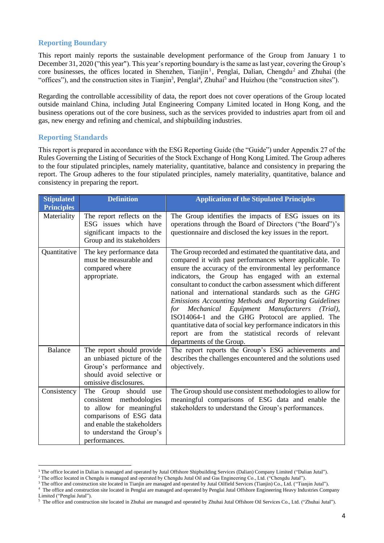#### **Reporting Boundary**

This report mainly reports the sustainable development performance of the Group from January 1 to December 31, 2020 ("this year"). This year's reporting boundary is the same as last year, covering the Group's core businesses, the offices located in Shenzhen, Tianjin<sup>1</sup>, Penglai, Dalian, Chengdu<sup>2</sup> and Zhuhai (the "offices"), and the construction sites in Tianjin<sup>3</sup>, Penglai<sup>4</sup>, Zhuhai<sup>5</sup> and Huizhou (the "construction sites").

Regarding the controllable accessibility of data, the report does not cover operations of the Group located outside mainland China, including Jutal Engineering Company Limited located in Hong Kong, and the business operations out of the core business, such as the services provided to industries apart from oil and gas, new energy and refining and chemical, and shipbuilding industries.

#### **Reporting Standards**

This report is prepared in accordance with the ESG Reporting Guide (the "Guide") under Appendix 27 of the Rules Governing the Listing of Securities of the Stock Exchange of Hong Kong Limited. The Group adheres to the four stipulated principles, namely materiality, quantitative, balance and consistency in preparing the report. The Group adheres to the four stipulated principles, namely materiality, quantitative, balance and consistency in preparing the report.

| <b>Stipulated</b><br><b>Principles</b> | <b>Definition</b>                                                                                                                                                                      | <b>Application of the Stipulated Principles</b>                                                                                                                                                                                                                                                                                                                                                                                                                                                                                                                                                                                                                                                |
|----------------------------------------|----------------------------------------------------------------------------------------------------------------------------------------------------------------------------------------|------------------------------------------------------------------------------------------------------------------------------------------------------------------------------------------------------------------------------------------------------------------------------------------------------------------------------------------------------------------------------------------------------------------------------------------------------------------------------------------------------------------------------------------------------------------------------------------------------------------------------------------------------------------------------------------------|
| Materiality                            | The report reflects on the<br>ESG issues which have<br>significant impacts to the<br>Group and its stakeholders                                                                        | The Group identifies the impacts of ESG issues on its<br>operations through the Board of Directors ("the Board")'s<br>questionnaire and disclosed the key issues in the report.                                                                                                                                                                                                                                                                                                                                                                                                                                                                                                                |
| Quantitative                           | The key performance data<br>must be measurable and<br>compared where<br>appropriate.                                                                                                   | The Group recorded and estimated the quantitative data, and<br>compared it with past performances where applicable. To<br>ensure the accuracy of the environmental ley performance<br>indicators, the Group has engaged with an external<br>consultant to conduct the carbon assessment which different<br>national and international standards such as the GHG<br>Emissions Accounting Methods and Reporting Guidelines<br>Manufacturers (Trial),<br>Mechanical<br>Equipment<br>for<br>ISO14064-1 and the GHG Protocol are applied. The<br>quantitative data of social key performance indicators in this<br>report are from the statistical records of relevant<br>departments of the Group. |
| <b>Balance</b>                         | The report should provide<br>an unbiased picture of the<br>Group's performance and<br>should avoid selective or<br>omissive disclosures.                                               | The report reports the Group's ESG achievements and<br>describes the challenges encountered and the solutions used<br>objectively.                                                                                                                                                                                                                                                                                                                                                                                                                                                                                                                                                             |
| Consistency                            | The Group should<br>use<br>consistent methodologies<br>to allow for meaningful<br>comparisons of ESG data<br>and enable the stakeholders<br>to understand the Group's<br>performances. | The Group should use consistent methodologies to allow for<br>meaningful comparisons of ESG data and enable the<br>stakeholders to understand the Group's performances.                                                                                                                                                                                                                                                                                                                                                                                                                                                                                                                        |

<sup>1</sup> The office located in Dalian is managed and operated by Jutal Offshore Shipbuilding Services (Dalian) Company Limited ("Dalian Jutal").

<sup>2</sup> The office located in Chengdu is managed and operated by Chengdu Jutal Oil and Gas Engineering Co., Ltd. ("Chengdu Jutal").

<sup>&</sup>lt;sup>3</sup> The office and construction site located in Tianjin are managed and operated by Jutal Oilfield Services (Tianjin) Co., Ltd. ("Tianjin Jutal").

<sup>&</sup>lt;sup>4</sup> The office and construction site located in Penglai are managed and operated by Penglai Jutal Offshore Engineering Heavy Industries Company Limited ("Penglai Jutal").

<sup>&</sup>lt;sup>5</sup> The office and construction site located in Zhuhai are managed and operated by Zhuhai Jutal Offshore Oil Services Co., Ltd. ("Zhuhai Jutal").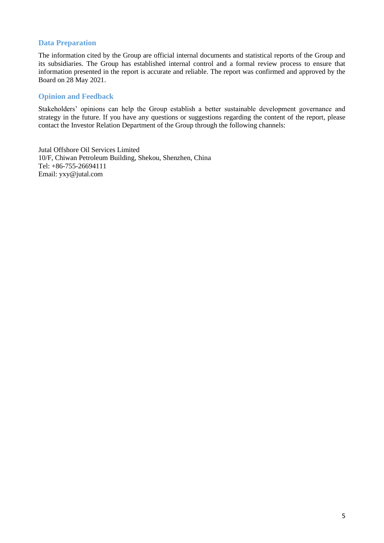#### **Data Preparation**

The information cited by the Group are official internal documents and statistical reports of the Group and its subsidiaries. The Group has established internal control and a formal review process to ensure that information presented in the report is accurate and reliable. The report was confirmed and approved by the Board on 28 May 2021.

#### **Opinion and Feedback**

Stakeholders' opinions can help the Group establish a better sustainable development governance and strategy in the future. If you have any questions or suggestions regarding the content of the report, please contact the Investor Relation Department of the Group through the following channels:

Jutal Offshore Oil Services Limited 10/F, Chiwan Petroleum Building, Shekou, Shenzhen, China Tel: +86-755-26694111 Email: yxy@jutal.com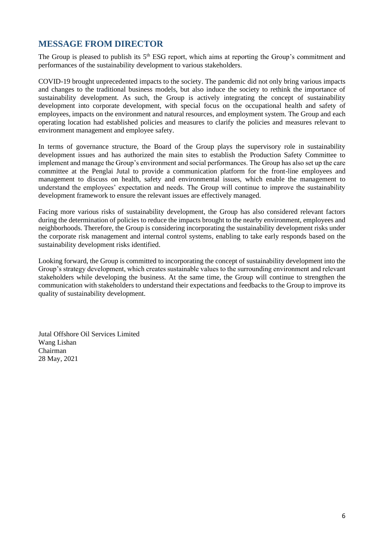# **MESSAGE FROM DIRECTOR**

The Group is pleased to publish its  $5<sup>th</sup> ESG$  report, which aims at reporting the Group's commitment and performances of the sustainability development to various stakeholders.

COVID-19 brought unprecedented impacts to the society. The pandemic did not only bring various impacts and changes to the traditional business models, but also induce the society to rethink the importance of sustainability development. As such, the Group is actively integrating the concept of sustainability development into corporate development, with special focus on the occupational health and safety of employees, impacts on the environment and natural resources, and employment system. The Group and each operating location had established policies and measures to clarify the policies and measures relevant to environment management and employee safety.

In terms of governance structure, the Board of the Group plays the supervisory role in sustainability development issues and has authorized the main sites to establish the Production Safety Committee to implement and manage the Group's environment and social performances. The Group has also set up the care committee at the Penglai Jutal to provide a communication platform for the front-line employees and management to discuss on health, safety and environmental issues, which enable the management to understand the employees' expectation and needs. The Group will continue to improve the sustainability development framework to ensure the relevant issues are effectively managed.

Facing more various risks of sustainability development, the Group has also considered relevant factors during the determination of policies to reduce the impacts brought to the nearby environment, employees and neighborhoods. Therefore, the Group is considering incorporating the sustainability development risks under the corporate risk management and internal control systems, enabling to take early responds based on the sustainability development risks identified.

Looking forward, the Group is committed to incorporating the concept of sustainability development into the Group's strategy development, which creates sustainable values to the surrounding environment and relevant stakeholders while developing the business. At the same time, the Group will continue to strengthen the communication with stakeholders to understand their expectations and feedbacks to the Group to improve its quality of sustainability development.

Jutal Offshore Oil Services Limited Wang Lishan Chairman 28 May, 2021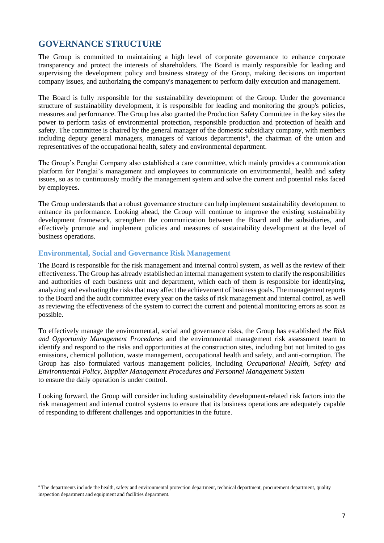### **GOVERNANCE STRUCTURE**

The Group is committed to maintaining a high level of corporate governance to enhance corporate transparency and protect the interests of shareholders. The Board is mainly responsible for leading and supervising the development policy and business strategy of the Group, making decisions on important company issues, and authorizing the company's management to perform daily execution and management.

The Board is fully responsible for the sustainability development of the Group. Under the governance structure of sustainability development, it is responsible for leading and monitoring the group's policies, measures and performance. The Group has also granted the Production Safety Committee in the key sites the power to perform tasks of environmental protection, responsible production and protection of health and safety. The committee is chaired by the general manager of the domestic subsidiary company, with members including deputy general managers, managers of various departments<sup>6</sup>, the chairman of the union and representatives of the occupational health, safety and environmental department.

The Group's Penglai Company also established a care committee, which mainly provides a communication platform for Penglai's management and employees to communicate on environmental, health and safety issues, so as to continuously modify the management system and solve the current and potential risks faced by employees.

The Group understands that a robust governance structure can help implement sustainability development to enhance its performance. Looking ahead, the Group will continue to improve the existing sustainability development framework, strengthen the communication between the Board and the subsidiaries, and effectively promote and implement policies and measures of sustainability development at the level of business operations.

#### **Environmental, Social and Governance Risk Management**

The Board is responsible for the risk management and internal control system, as well as the review of their effectiveness. The Group has already established an internal management system to clarify the responsibilities and authorities of each business unit and department, which each of them is responsible for identifying, analyzing and evaluating the risks that may affect the achievement of business goals. The management reports to the Board and the audit committee every year on the tasks of risk management and internal control, as well as reviewing the effectiveness of the system to correct the current and potential monitoring errors as soon as possible.

To effectively manage the environmental, social and governance risks, the Group has established *the Risk and Opportunity Management Procedures* and the environmental management risk assessment team to identify and respond to the risks and opportunities at the construction sites, including but not limited to gas emissions, chemical pollution, waste management, occupational health and safety, and anti-corruption. The Group has also formulated various management policies, including *Occupational Health, Safety and Environmental Policy, Supplier Management Procedures and Personnel Management System* to ensure the daily operation is under control.

Looking forward, the Group will consider including sustainability development-related risk factors into the risk management and internal control systems to ensure that its business operations are adequately capable of responding to different challenges and opportunities in the future.

<sup>6</sup> The departments include the health, safety and environmental protection department, technical department, procurement department, quality inspection department and equipment and facilities department.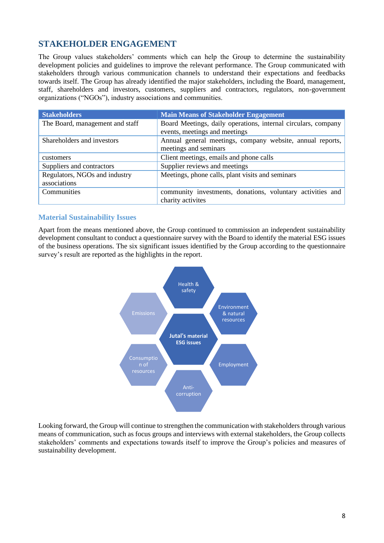# **STAKEHOLDER ENGAGEMENT**

The Group values stakeholders' comments which can help the Group to determine the sustainability development policies and guidelines to improve the relevant performance. The Group communicated with stakeholders through various communication channels to understand their expectations and feedbacks towards itself. The Group has already identified the major stakeholders, including the Board, management, staff, shareholders and investors, customers, suppliers and contractors, regulators, non-government organizations ("NGOs"), industry associations and communities.

| <b>Stakeholders</b>             | <b>Main Means of Stakeholder Engagement</b>                                                    |  |  |
|---------------------------------|------------------------------------------------------------------------------------------------|--|--|
| The Board, management and staff | Board Meetings, daily operations, internal circulars, company<br>events, meetings and meetings |  |  |
|                                 |                                                                                                |  |  |
| Shareholders and investors      | Annual general meetings, company website, annual reports,                                      |  |  |
|                                 | meetings and seminars                                                                          |  |  |
| customers                       | Client meetings, emails and phone calls                                                        |  |  |
| Suppliers and contractors       | Supplier reviews and meetings                                                                  |  |  |
| Regulators, NGOs and industry   | Meetings, phone calls, plant visits and seminars                                               |  |  |
| associations                    |                                                                                                |  |  |
| Communities                     | community investments, donations, voluntary activities and                                     |  |  |
|                                 | charity activites                                                                              |  |  |

#### **Material Sustainability Issues**

Apart from the means mentioned above, the Group continued to commission an independent sustainability development consultant to conduct a questionnaire survey with the Board to identify the material ESG issues of the business operations. The six significant issues identified by the Group according to the questionnaire survey's result are reported as the highlights in the report.



Looking forward, the Group will continue to strengthen the communication with stakeholders through various means of communication, such as focus groups and interviews with external stakeholders, the Group collects stakeholders' comments and expectations towards itself to improve the Group's policies and measures of sustainability development.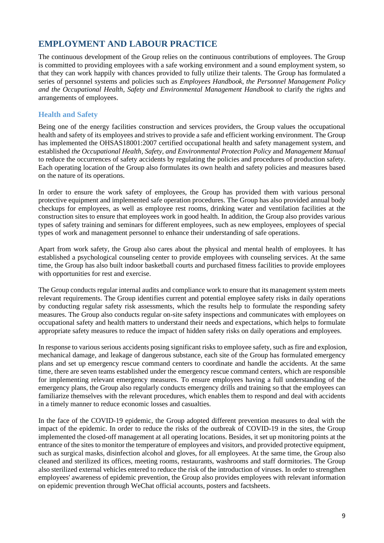# **EMPLOYMENT AND LABOUR PRACTICE**

The continuous development of the Group relies on the continuous contributions of employees. The Group is committed to providing employees with a safe working environment and a sound employment system, so that they can work happily with chances provided to fully utilize their talents. The Group has formulated a series of personnel systems and policies such as *Employees Handbook, the Personnel Management Policy and the Occupational Health, Safety and Environmental Management Handbook* to clarify the rights and arrangements of employees.

#### **Health and Safety**

Being one of the energy facilities construction and services providers, the Group values the occupational health and safety of its employees and strives to provide a safe and efficient working environment. The Group has implemented the OHSAS18001:2007 certified occupational health and safety management system, and established *the Occupational Health, Safety, and Environmental Protection Policy* and *Management Manual*  to reduce the occurrences of safety accidents by regulating the policies and procedures of production safety. Each operating location of the Group also formulates its own health and safety policies and measures based on the nature of its operations.

In order to ensure the work safety of employees, the Group has provided them with various personal protective equipment and implemented safe operation procedures. The Group has also provided annual body checkups for employees, as well as employee rest rooms, drinking water and ventilation facilities at the construction sites to ensure that employees work in good health. In addition, the Group also provides various types of safety training and seminars for different employees, such as new employees, employees of special types of work and management personnel to enhance their understanding of safe operations.

Apart from work safety, the Group also cares about the physical and mental health of employees. It has established a psychological counseling center to provide employees with counseling services. At the same time, the Group has also built indoor basketball courts and purchased fitness facilities to provide employees with opportunities for rest and exercise.

The Group conducts regular internal audits and compliance work to ensure that its management system meets relevant requirements. The Group identifies current and potential employee safety risks in daily operations by conducting regular safety risk assessments, which the results help to formulate the responding safety measures. The Group also conducts regular on-site safety inspections and communicates with employees on occupational safety and health matters to understand their needs and expectations, which helps to formulate appropriate safety measures to reduce the impact of hidden safety risks on daily operations and employees.

In response to various serious accidents posing significant risks to employee safety, such as fire and explosion, mechanical damage, and leakage of dangerous substance, each site of the Group has formulated emergency plans and set up emergency rescue command centers to coordinate and handle the accidents. At the same time, there are seven teams established under the emergency rescue command centers, which are responsible for implementing relevant emergency measures. To ensure employees having a full understanding of the emergency plans, the Group also regularly conducts emergency drills and training so that the employees can familiarize themselves with the relevant procedures, which enables them to respond and deal with accidents in a timely manner to reduce economic losses and casualties.

In the face of the COVID-19 epidemic, the Group adopted different prevention measures to deal with the impact of the epidemic. In order to reduce the risks of the outbreak of COVID-19 in the sites, the Group implemented the closed-off management at all operating locations. Besides, it set up monitoring points at the entrance of the sites to monitor the temperature of employees and visitors, and provided protective equipment, such as surgical masks, disinfection alcohol and gloves, for all employees. At the same time, the Group also cleaned and sterilized its offices, meeting rooms, restaurants, washrooms and staff dormitories. The Group also sterilized external vehicles entered to reduce the risk of the introduction of viruses. In order to strengthen employees' awareness of epidemic prevention, the Group also provides employees with relevant information on epidemic prevention through WeChat official accounts, posters and factsheets.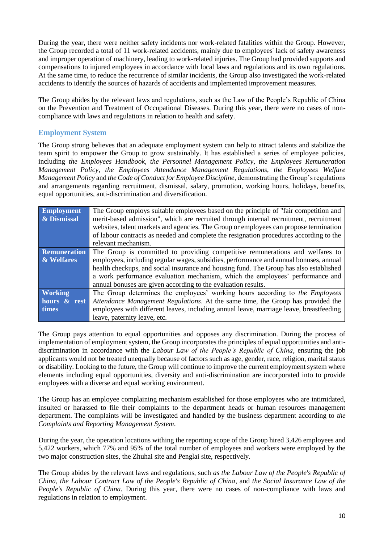During the year, there were neither safety incidents nor work-related fatalities within the Group. However, the Group recorded a total of 11 work-related accidents, mainly due to employees' lack of safety awareness and improper operation of machinery, leading to work-related injuries. The Group had provided supports and compensations to injured employees in accordance with local laws and regulations and its own regulations. At the same time, to reduce the recurrence of similar incidents, the Group also investigated the work-related accidents to identify the sources of hazards of accidents and implemented improvement measures.

The Group abides by the relevant laws and regulations, such as the Law of the People's Republic of China on the Prevention and Treatment of Occupational Diseases. During this year, there were no cases of noncompliance with laws and regulations in relation to health and safety.

#### **Employment System**

The Group strong believes that an adequate employment system can help to attract talents and stabilize the team spirit to empower the Group to grow sustainably. It has established a series of employee policies, including *the Employees Handbook, the Personnel Management Policy, the Employees Remuneration Management Policy, the Employees Attendance Management Regulations, the Employees Welfare Management Policy* and *the Code of Conduct for Employee Discipline*, demonstrating the Group's regulations and arrangements regarding recruitment, dismissal, salary, promotion, working hours, holidays, benefits, equal opportunities, anti-discrimination and diversification.

| <b>Employment</b>   | The Group employs suitable employees based on the principle of "fair competition and   |
|---------------------|----------------------------------------------------------------------------------------|
| & Dismissal         | merit-based admission", which are recruited through internal recruitment, recruitment  |
|                     | websites, talent markets and agencies. The Group or employees can propose termination  |
|                     | of labour contracts as needed and complete the resignation procedures according to the |
|                     | relevant mechanism.                                                                    |
| <b>Remuneration</b> | The Group is committed to providing competitive remunerations and welfares to          |
| & Welfares          | employees, including regular wages, subsidies, performance and annual bonuses, annual  |
|                     | health checkups, and social insurance and housing fund. The Group has also established |
|                     | a work performance evaluation mechanism, which the employees' performance and          |
|                     | annual bonuses are given according to the evaluation results.                          |
| <b>Working</b>      | The Group determines the employees' working hours according to the Employees           |
| hours & rest        | Attendance Management Regulations. At the same time, the Group has provided the        |
| <b>times</b>        | employees with different leaves, including annual leave, marriage leave, breastfeeding |
|                     | leave, paternity leave, etc.                                                           |

The Group pays attention to equal opportunities and opposes any discrimination. During the process of implementation of employment system, the Group incorporates the principles of equal opportunities and antidiscrimination in accordance with the *Labour Law of the People's Republic of China*, ensuring the job applicants would not be treated unequally because of factors such as age, gender, race, religion, marital status or disability. Looking to the future, the Group will continue to improve the current employment system where elements including equal opportunities, diversity and anti-discrimination are incorporated into to provide employees with a diverse and equal working environment.

The Group has an employee complaining mechanism established for those employees who are intimidated, insulted or harassed to file their complaints to the department heads or human resources management department. The complaints will be investigated and handled by the business department according to *the Complaints and Reporting Management System*.

During the year, the operation locations withing the reporting scope of the Group hired 3,426 employees and 5,422 workers, which 77% and 95% of the total number of employees and workers were employed by the two major construction sites, the Zhuhai site and Penglai site, respectively.

The Group abides by the relevant laws and regulations, such *as the Labour Law of the People's Republic of China*, *the Labour Contract Law of the People's Republic of China*, and *the Social Insurance Law of the People's Republic of China*. During this year, there were no cases of non-compliance with laws and regulations in relation to employment.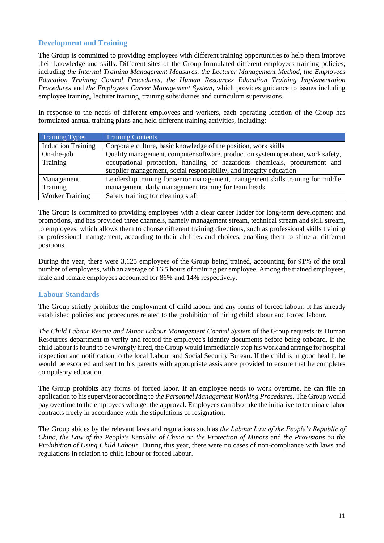#### **Development and Training**

The Group is committed to providing employees with different training opportunities to help them improve their knowledge and skills. Different sites of the Group formulated different employees training policies, including *the Internal Training Management Measures, the Lecturer Management Method, the Employees Education Training Control Procedures, the Human Resources Education Training Implementation Procedures* and *the Employees Career Management System*, which provides guidance to issues including employee training, lecturer training, training subsidiaries and curriculum supervisions.

In response to the needs of different employees and workers, each operating location of the Group has formulated annual training plans and held different training activities, including:

| <b>Training Types</b>     | <b>Training Contents</b>                                                         |
|---------------------------|----------------------------------------------------------------------------------|
| <b>Induction Training</b> | Corporate culture, basic knowledge of the position, work skills                  |
| $On$ -the-job             | Quality management, computer software, production system operation, work safety, |
| Training                  | occupational protection, handling of hazardous chemicals, procurement and        |
|                           | supplier management, social responsibility, and integrity education              |
| Management                | Leadership training for senior management, management skills training for middle |
| Training                  | management, daily management training for team heads                             |
| <b>Worker Training</b>    | Safety training for cleaning staff                                               |

The Group is committed to providing employees with a clear career ladder for long-term development and promotions, and has provided three channels, namely management stream, technical stream and skill stream, to employees, which allows them to choose different training directions, such as professional skills training or professional management, according to their abilities and choices, enabling them to shine at different positions.

During the year, there were 3,125 employees of the Group being trained, accounting for 91% of the total number of employees, with an average of 16.5 hours of training per employee. Among the trained employees, male and female employees accounted for 86% and 14% respectively.

#### **Labour Standards**

The Group strictly prohibits the employment of child labour and any forms of forced labour. It has already established policies and procedures related to the prohibition of hiring child labour and forced labour.

*The Child Labour Rescue and Minor Labour Management Control System* of the Group requests its Human Resources department to verify and record the employee's identity documents before being onboard. If the child labour is found to be wrongly hired, the Group would immediately stop his work and arrange for hospital inspection and notification to the local Labour and Social Security Bureau. If the child is in good health, he would be escorted and sent to his parents with appropriate assistance provided to ensure that he completes compulsory education.

The Group prohibits any forms of forced labor. If an employee needs to work overtime, he can file an application to his supervisor according to *the Personnel Management Working Procedures*. The Group would pay overtime to the employees who get the approval. Employees can also take the initiative to terminate labor contracts freely in accordance with the stipulations of resignation.

The Group abides by the relevant laws and regulations such as *the Labour Law of the People's Republic of China*, *the Law of the People's Republic of China on the Protection of Minors* and *the Provisions on the Prohibition of Using Child Labour*. During this year, there were no cases of non-compliance with laws and regulations in relation to child labour or forced labour.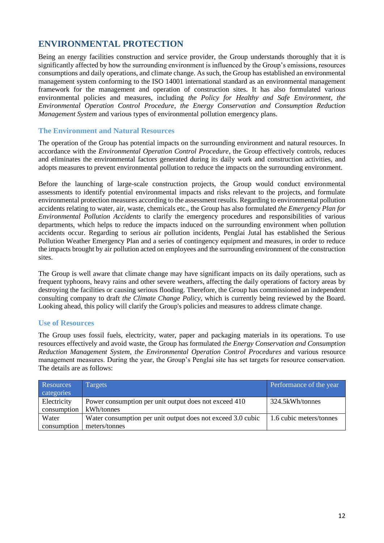# **ENVIRONMENTAL PROTECTION**

Being an energy facilities construction and service provider, the Group understands thoroughly that it is significantly affected by how the surrounding environment is influenced by the Group's emissions, resources consumptions and daily operations, and climate change. As such, the Group has established an environmental management system conforming to the ISO 14001 international standard as an environmental management framework for the management and operation of construction sites. It has also formulated various environmental policies and measures, including *the Policy for Healthy and Safe Environment, the Environmental Operation Control Procedure, the Energy Conservation and Consumption Reduction Management System* and various types of environmental pollution emergency plans.

#### **The Environment and Natural Resources**

The operation of the Group has potential impacts on the surrounding environment and natural resources. In accordance with the *Environmental Operation Control Procedure*, the Group effectively controls, reduces and eliminates the environmental factors generated during its daily work and construction activities, and adopts measures to prevent environmental pollution to reduce the impacts on the surrounding environment.

Before the launching of large-scale construction projects, the Group would conduct environmental assessments to identify potential environmental impacts and risks relevant to the projects, and formulate environmental protection measures according to the assessment results. Regarding to environmental pollution accidents relating to water, air, waste, chemicals etc., the Group has also formulated *the Emergency Plan for Environmental Pollution Accidents* to clarify the emergency procedures and responsibilities of various departments, which helps to reduce the impacts induced on the surrounding environment when pollution accidents occur. Regarding to serious air pollution incidents, Penglai Jutal has established the Serious Pollution Weather Emergency Plan and a series of contingency equipment and measures, in order to reduce the impacts brought by air pollution acted on employees and the surrounding environment of the construction sites.

The Group is well aware that climate change may have significant impacts on its daily operations, such as frequent typhoons, heavy rains and other severe weathers, affecting the daily operations of factory areas by destroying the facilities or causing serious flooding. Therefore, the Group has commissioned an independent consulting company to draft *the Climate Change Policy*, which is currently being reviewed by the Board. Looking ahead, this policy will clarify the Group's policies and measures to address climate change.

#### **Use of Resources**

The Group uses fossil fuels, electricity, water, paper and packaging materials in its operations. To use resources effectively and avoid waste, the Group has formulated *the Energy Conservation and Consumption Reduction Management System*, *the Environmental Operation Control Procedures* and various resource management measures. During the year, the Group's Penglai site has set targets for resource conservation. The details are as follows:

| Resources<br>categories    | Targets                                                             | Performance of the year |
|----------------------------|---------------------------------------------------------------------|-------------------------|
| Electricity<br>consumption | Power consumption per unit output does not exceed 410<br>kWh/tonnes | 324.5kWh/tonnes         |
| Water                      | Water consumption per unit output does not exceed 3.0 cubic         | 1.6 cubic meters/tonnes |
| consumption                | meters/tonnes                                                       |                         |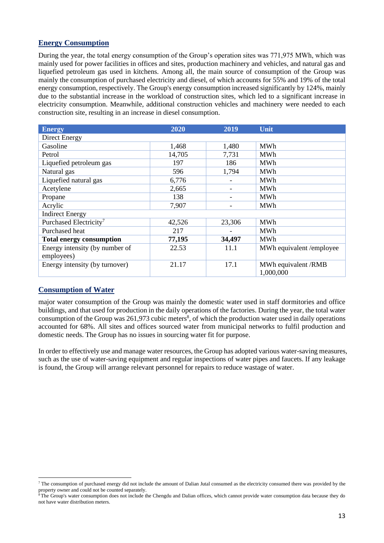#### **Energy Consumption**

During the year, the total energy consumption of the Group's operation sites was 771,975 MWh, which was mainly used for power facilities in offices and sites, production machinery and vehicles, and natural gas and liquefied petroleum gas used in kitchens. Among all, the main source of consumption of the Group was mainly the consumption of purchased electricity and diesel, of which accounts for 55% and 19% of the total energy consumption, respectively. The Group's energy consumption increased significantly by 124%, mainly due to the substantial increase in the workload of construction sites, which led to a significant increase in electricity consumption. Meanwhile, additional construction vehicles and machinery were needed to each construction site, resulting in an increase in diesel consumption.

| <b>Energy</b>                      | 2020   | 2019   | Unit                     |
|------------------------------------|--------|--------|--------------------------|
| Direct Energy                      |        |        |                          |
| Gasoline                           | 1,468  | 1,480  | <b>MWh</b>               |
| Petrol                             | 14,705 | 7,731  | MWh                      |
| Liquefied petroleum gas            | 197    | 186    | <b>MWh</b>               |
| Natural gas                        | 596    | 1,794  | MWh                      |
| Liquefied natural gas              | 6,776  |        | <b>MWh</b>               |
| Acetylene                          | 2,665  |        | <b>MWh</b>               |
| Propane                            | 138    |        | MWh                      |
| Acrylic                            | 7,907  |        | <b>MWh</b>               |
| <b>Indirect Energy</b>             |        |        |                          |
| Purchased Electricity <sup>7</sup> | 42,526 | 23,306 | <b>MWh</b>               |
| Purchased heat                     | 217    |        | <b>MWh</b>               |
| <b>Total energy consumption</b>    | 77,195 | 34,497 | <b>MWh</b>               |
| Energy intensity (by number of     | 22.53  | 11.1   | MWh equivalent /employee |
| employees)                         |        |        |                          |
| Energy intensity (by turnover)     | 21.17  | 17.1   | MWh equivalent /RMB      |
|                                    |        |        | 1,000,000                |

#### **Consumption of Water**

major water consumption of the Group was mainly the domestic water used in staff dormitories and office buildings, and that used for production in the daily operations of the factories. During the year, the total water consumption of the Group was  $261,973$  cubic meters<sup>8</sup>, of which the production water used in daily operations accounted for 68%. All sites and offices sourced water from municipal networks to fulfil production and domestic needs. The Group has no issues in sourcing water fit for purpose.

In order to effectively use and manage water resources, the Group has adopted various water-saving measures, such as the use of water-saving equipment and regular inspections of water pipes and faucets. If any leakage is found, the Group will arrange relevant personnel for repairs to reduce wastage of water.

 $<sup>7</sup>$  The consumption of purchased energy did not include the amount of Dalian Jutal consumed as the electricity consumed there was provided by the</sup> property owner and could not be counted separately.

<sup>&</sup>lt;sup>8</sup> The Group's water consumption does not include the Chengdu and Dalian offices, which cannot provide water consumption data because they do not have water distribution meters.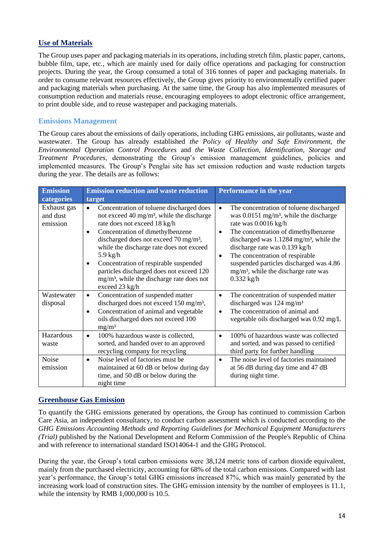#### **Use of Materials**

The Group uses paper and packaging materials in its operations, including stretch film, plastic paper, cartons, bubble film, tape, etc., which are mainly used for daily office operations and packaging for construction projects. During the year, the Group consumed a total of 316 tonnes of paper and packaging materials. In order to consume relevant resources effectively, the Group gives priority to environmentally certified paper and packaging materials when purchasing. At the same time, the Group has also implemented measures of consumption reduction and materials reuse, encouraging employees to adopt electronic office arrangement, to print double side, and to reuse wastepaper and packaging materials.

#### **Emissions Management**

The Group cares about the emissions of daily operations, including GHG emissions, air pollutants, waste and wastewater. The Group has already established *the Policy of Healthy and Safe Environment, the Environmental Operation Control Procedures* and *the Waste Collection, Identification, Storage and Treatment Procedures*, demonstrating the Group's emission management guidelines, policies and implemented measures. The Group's Penglai site has set emission reduction and waste reduction targets during the year. The details are as follows:

| <b>Emission</b>                     | <b>Emission reduction and waste reduction</b>                                                                                                                                                                                                                                                                                                                                                                                                                                     | Performance in the year                                                                                                                                                                                                                                                                                                                                                                                                                            |  |
|-------------------------------------|-----------------------------------------------------------------------------------------------------------------------------------------------------------------------------------------------------------------------------------------------------------------------------------------------------------------------------------------------------------------------------------------------------------------------------------------------------------------------------------|----------------------------------------------------------------------------------------------------------------------------------------------------------------------------------------------------------------------------------------------------------------------------------------------------------------------------------------------------------------------------------------------------------------------------------------------------|--|
| categories                          | target                                                                                                                                                                                                                                                                                                                                                                                                                                                                            |                                                                                                                                                                                                                                                                                                                                                                                                                                                    |  |
| Exhaust gas<br>and dust<br>emission | Concentration of toluene discharged does<br>$\bullet$<br>not exceed 40 mg/m <sup>3</sup> , while the discharge<br>rate does not exceed 18 kg/h<br>Concentration of dimethylbenzene<br>$\bullet$<br>discharged does not exceed 70 mg/m <sup>3</sup> ,<br>while the discharge rate does not exceed<br>$5.9 \text{ kg/h}$<br>Concentration of respirable suspended<br>٠<br>particles discharged does not exceed 120<br>$mg/m3$ , while the discharge rate does not<br>exceed 23 kg/h | The concentration of toluene discharged<br>$\bullet$<br>was $0.0151$ mg/m <sup>3</sup> , while the discharge<br>rate was 0.0016 kg/h<br>The concentration of dimethylbenzene<br>$\bullet$<br>discharged was $1.1284$ mg/m <sup>3</sup> , while the<br>discharge rate was 0.139 kg/h<br>The concentration of respirable<br>$\bullet$<br>suspended particles discharged was 4.86<br>mg/m <sup>3</sup> , while the discharge rate was<br>$0.332$ kg/h |  |
| Wastewater<br>disposal              | Concentration of suspended matter<br>$\bullet$<br>discharged does not exceed 150 mg/m <sup>3</sup> ,<br>Concentration of animal and vegetable<br>$\bullet$<br>oils discharged does not exceed 100<br>mg/m <sup>3</sup>                                                                                                                                                                                                                                                            | The concentration of suspended matter<br>$\bullet$<br>discharged was 124 mg/m <sup>3</sup><br>The concentration of animal and<br>$\bullet$<br>vegetable oils discharged was 0.92 mg/L                                                                                                                                                                                                                                                              |  |
| Hazardous<br>waste                  | 100% hazardous waste is collected,<br>$\bullet$<br>sorted, and handed over to an approved<br>recycling company for recycling                                                                                                                                                                                                                                                                                                                                                      | 100% of hazardous waste was collected<br>$\bullet$<br>and sorted, and was passed to certified<br>third party for further handling                                                                                                                                                                                                                                                                                                                  |  |
| Noise<br>emission                   | Noise level of factories must be<br>$\bullet$<br>maintained at 60 dB or below during day<br>time, and 50 dB or below during the<br>night time                                                                                                                                                                                                                                                                                                                                     | The noise level of factories maintained<br>$\bullet$<br>at 56 dB during day time and 47 dB<br>during night time.                                                                                                                                                                                                                                                                                                                                   |  |

#### **Greenhouse Gas Emission**

To quantify the GHG emissions generated by operations, the Group has continued to commission Carbon Care Asia, an independent consultancy, to conduct carbon assessment which is conducted according to *the GHG Emissions Accounting Methods and Reporting Guidelines for Mechanical Equipment Manufacturers (Trial)* published by the National Development and Reform Commission of the People's Republic of China and with reference to international standard ISO14064-1 and the GHG Protocol.

During the year, the Group's total carbon emissions were 38,124 metric tons of carbon dioxide equivalent, mainly from the purchased electricity, accounting for 68% of the total carbon emissions. Compared with last year's performance, the Group's total GHG emissions increased 87%, which was mainly generated by the increasing work load of construction sites. The GHG emission intensity by the number of employees is 11.1, while the intensity by RMB 1,000,000 is 10.5.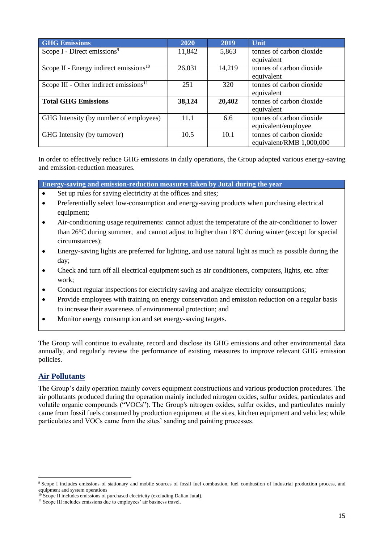| <b>GHG</b> Emissions                               | 2020   | 2019   | Unit                     |
|----------------------------------------------------|--------|--------|--------------------------|
| Scope I - Direct emissions <sup>9</sup>            | 11,842 | 5,863  | tonnes of carbon dioxide |
|                                                    |        |        | equivalent               |
| Scope II - Energy indirect emissions <sup>10</sup> | 26,031 | 14,219 | tonnes of carbon dioxide |
|                                                    |        |        | equivalent               |
| Scope III - Other indirect emissions <sup>11</sup> | 251    | 320    | tonnes of carbon dioxide |
|                                                    |        |        | equivalent               |
| <b>Total GHG Emissions</b>                         | 38,124 | 20,402 | tonnes of carbon dioxide |
|                                                    |        |        | equivalent               |
| GHG Intensity (by number of employees)             | 11.1   | 6.6    | tonnes of carbon dioxide |
|                                                    |        |        | equivalent/employee      |
| GHG Intensity (by turnover)                        | 10.5   | 10.1   | tonnes of carbon dioxide |
|                                                    |        |        | equivalent/RMB 1,000,000 |

In order to effectively reduce GHG emissions in daily operations, the Group adopted various energy-saving and emission-reduction measures.

**Energy-saving and emission-reduction measures taken by Jutal during the year**

- Set up rules for saving electricity at the offices and sites;
- Preferentially select low-consumption and energy-saving products when purchasing electrical equipment;
- Air-conditioning usage requirements: cannot adjust the temperature of the air-conditioner to lower than 26°C during summer, and cannot adjust to higher than 18℃ during winter (except for special circumstances);
- Energy-saving lights are preferred for lighting, and use natural light as much as possible during the day;
- Check and turn off all electrical equipment such as air conditioners, computers, lights, etc. after work;
- Conduct regular inspections for electricity saving and analyze electricity consumptions;
- Provide employees with training on energy conservation and emission reduction on a regular basis to increase their awareness of environmental protection; and
- Monitor energy consumption and set energy-saving targets.

The Group will continue to evaluate, record and disclose its GHG emissions and other environmental data annually, and regularly review the performance of existing measures to improve relevant GHG emission policies.

#### **Air Pollutants**

The Group's daily operation mainly covers equipment constructions and various production procedures. The air pollutants produced during the operation mainly included nitrogen oxides, sulfur oxides, particulates and volatile organic compounds ("VOCs"). The Group's nitrogen oxides, sulfur oxides, and particulates mainly came from fossil fuels consumed by production equipment at the sites, kitchen equipment and vehicles; while particulates and VOCs came from the sites' sanding and painting processes.

<sup>&</sup>lt;sup>9</sup> Scope I includes emissions of stationary and mobile sources of fossil fuel combustion, fuel combustion of industrial production process, and equipment and system operations

Scope II includes emissions of purchased electricity (excluding Dalian Jutal).

<sup>&</sup>lt;sup>11</sup> Scope III includes emissions due to employees' air business travel.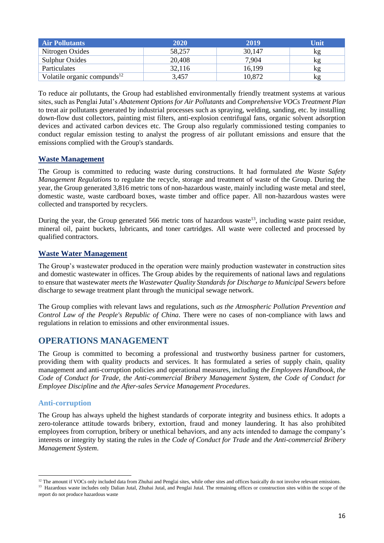| <b>Air Pollutants</b>                   | 2020   | 2019   | Unit |
|-----------------------------------------|--------|--------|------|
| Nitrogen Oxides                         | 58.257 | 30,147 | κg   |
| Sulphur Oxides                          | 20,408 | 7,904  | kg   |
| <b>Particulates</b>                     | 32,116 | 16,199 | kg   |
| Volatile organic compunds <sup>12</sup> | 3.457  | 10,872 | kg   |

To reduce air pollutants, the Group had established environmentally friendly treatment systems at various sites, such as Penglai Jutal's *Abatement Options for Air Pollutants* and *Comprehensive VOCs Treatment Plan* to treat air pollutants generated by industrial processes such as spraying, welding, sanding, etc. by installing down-flow dust collectors, painting mist filters, anti-explosion centrifugal fans, organic solvent adsorption devices and activated carbon devices etc. The Group also regularly commissioned testing companies to conduct regular emission testing to analyst the progress of air pollutant emissions and ensure that the emissions complied with the Group's standards.

#### **Waste Management**

The Group is committed to reducing waste during constructions. It had formulated *the Waste Safety Management Regulations* to regulate the recycle, storage and treatment of waste of the Group. During the year, the Group generated 3,816 metric tons of non-hazardous waste, mainly including waste metal and steel, domestic waste, waste cardboard boxes, waste timber and office paper. All non-hazardous wastes were collected and transported by recyclers.

During the year, the Group generated 566 metric tons of hazardous waste<sup>13</sup>, including waste paint residue, mineral oil, paint buckets, lubricants, and toner cartridges. All waste were collected and processed by qualified contractors.

#### **Waste Water Management**

The Group's wastewater produced in the operation were mainly production wastewater in construction sites and domestic wastewater in offices. The Group abides by the requirements of national laws and regulations to ensure that wastewater *meets the Wastewater Quality Standards for Discharge to Municipal Sewers* before discharge to sewage treatment plant through the municipal sewage network.

The Group complies with relevant laws and regulations, such *as the Atmospheric Pollution Prevention and Control Law of the People's Republic of China*. There were no cases of non-compliance with laws and regulations in relation to emissions and other environmental issues.

## **OPERATIONS MANAGEMENT**

The Group is committed to becoming a professional and trustworthy business partner for customers, providing them with quality products and services. It has formulated a series of supply chain, quality management and anti-corruption policies and operational measures, including *the Employees Handbook, the Code of Conduct for Trade, the Anti-commercial Bribery Management System, the Code of Conduct for Employee Discipline* and *the After-sales Service Management Procedures*.

#### **Anti-corruption**

The Group has always upheld the highest standards of corporate integrity and business ethics. It adopts a zero-tolerance attitude towards bribery, extortion, fraud and money laundering. It has also prohibited employees from corruption, bribery or unethical behaviors, and any acts intended to damage the company's interests or integrity by stating the rules in *the Code of Conduct for Trade* and *the Anti-commercial Bribery Management System*.

<sup>13</sup> Hazardous waste includes only Dalian Jutal, Zhuhai Jutal, and Penglai Jutal. The remaining offices or construction sites within the scope of the report do not produce hazardous waste

 $12$  The amount if VOCs only included data from Zhuhai and Penglai sites, while other sites and offices basically do not involve relevant emissions.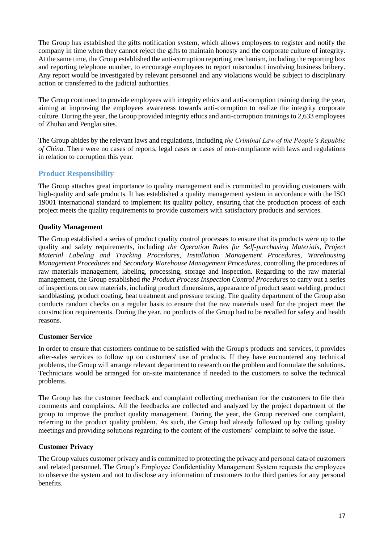The Group has established the gifts notification system, which allows employees to register and notify the company in time when they cannot reject the gifts to maintain honesty and the corporate culture of integrity. At the same time, the Group established the anti-corruption reporting mechanism, including the reporting box and reporting telephone number, to encourage employees to report misconduct involving business bribery. Any report would be investigated by relevant personnel and any violations would be subject to disciplinary action or transferred to the judicial authorities.

The Group continued to provide employees with integrity ethics and anti-corruption training during the year, aiming at improving the employees awareness towards anti-corruption to realize the integrity corporate culture. During the year, the Group provided integrity ethics and anti-corruption trainings to 2,633 employees of Zhuhai and Penglai sites.

The Group abides by the relevant laws and regulations, including *the Criminal Law of the People's Republic of China*. There were no cases of reports, legal cases or cases of non-compliance with laws and regulations in relation to corruption this year.

#### **Product Responsibility**

The Group attaches great importance to quality management and is committed to providing customers with high-quality and safe products. It has established a quality management system in accordance with the ISO 19001 international standard to implement its quality policy, ensuring that the production process of each project meets the quality requirements to provide customers with satisfactory products and services.

#### **Quality Management**

The Group established a series of product quality control processes to ensure that its products were up to the quality and safety requirements, including *the Operation Rules for Self-purchasing Materials, Project Material Labeling and Tracking Procedures, Installation Management Procedures, Warehousing Management Procedures* and *Secondary Warehouse Management Procedures*, controlling the procedures of raw materials management, labeling, processing, storage and inspection. Regarding to the raw material management, the Group established *the Product Process Inspection Control Procedures* to carry out a series of inspections on raw materials, including product dimensions, appearance of product seam welding, product sandblasting, product coating, heat treatment and pressure testing. The quality department of the Group also conducts random checks on a regular basis to ensure that the raw materials used for the project meet the construction requirements. During the year, no products of the Group had to be recalled for safety and health reasons.

#### **Customer Service**

In order to ensure that customers continue to be satisfied with the Group's products and services, it provides after-sales services to follow up on customers' use of products. If they have encountered any technical problems, the Group will arrange relevant department to research on the problem and formulate the solutions. Technicians would be arranged for on-site maintenance if needed to the customers to solve the technical problems.

The Group has the customer feedback and complaint collecting mechanism for the customers to file their comments and complaints. All the feedbacks are collected and analyzed by the project department of the group to improve the product quality management. During the year, the Group received one complaint, referring to the product quality problem. As such, the Group had already followed up by calling quality meetings and providing solutions regarding to the content of the customers' complaint to solve the issue.

#### **Customer Privacy**

The Group values customer privacy and is committed to protecting the privacy and personal data of customers and related personnel. The Group's Employee Confidentiality Management System requests the employees to observe the system and not to disclose any information of customers to the third parties for any personal benefits.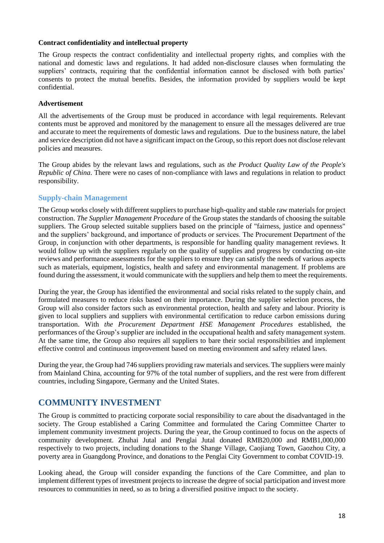#### **Contract confidentiality and intellectual property**

The Group respects the contract confidentiality and intellectual property rights, and complies with the national and domestic laws and regulations. It had added non-disclosure clauses when formulating the suppliers' contracts, requiring that the confidential information cannot be disclosed with both parties' consents to protect the mutual benefits. Besides, the information provided by suppliers would be kept confidential.

#### **Advertisement**

All the advertisements of the Group must be produced in accordance with legal requirements. Relevant contents must be approved and monitored by the management to ensure all the messages delivered are true and accurate to meet the requirements of domestic laws and regulations. Due to the business nature, the label and service description did not have a significant impact on the Group, so this report does not disclose relevant policies and measures.

The Group abides by the relevant laws and regulations, such as *the Product Quality Law of the People's Republic of China*. There were no cases of non-compliance with laws and regulations in relation to product responsibility.

#### **Supply-chain Management**

The Group works closely with different suppliers to purchase high-quality and stable raw materials for project construction. *The Supplier Management Procedure* of the Group states the standards of choosing the suitable suppliers. The Group selected suitable suppliers based on the principle of "fairness, justice and openness" and the suppliers' background, and importance of products or services. The Procurement Department of the Group, in conjunction with other departments, is responsible for handling quality management reviews. It would follow up with the suppliers regularly on the quality of supplies and progress by conducting on-site reviews and performance assessments for the suppliers to ensure they can satisfy the needs of various aspects such as materials, equipment, logistics, health and safety and environmental management. If problems are found during the assessment, it would communicate with the suppliers and help them to meet the requirements.

During the year, the Group has identified the environmental and social risks related to the supply chain, and formulated measures to reduce risks based on their importance. During the supplier selection process, the Group will also consider factors such as environmental protection, health and safety and labour. Priority is given to local suppliers and suppliers with environmental certification to reduce carbon emissions during transportation. With *the Procurement Department HSE Management Procedures* established, the performances of the Group's supplier are included in the occupational health and safety management system. At the same time, the Group also requires all suppliers to bare their social responsibilities and implement effective control and continuous improvement based on meeting environment and safety related laws.

During the year, the Group had 746 suppliers providing raw materials and services. The suppliers were mainly from Mainland China, accounting for 97% of the total number of suppliers, and the rest were from different countries, including Singapore, Germany and the United States.

# **COMMUNITY INVESTMENT**

The Group is committed to practicing corporate social responsibility to care about the disadvantaged in the society. The Group established a Caring Committee and formulated the Caring Committee Charter to implement community investment projects. During the year, the Group continued to focus on the aspects of community development. Zhuhai Jutal and Penglai Jutal donated RMB20,000 and RMB1,000,000 respectively to two projects, including donations to the Shange Village, Caojiang Town, Gaozhou City, a poverty area in Guangdong Province, and donations to the Penglai City Government to combat COVID-19.

Looking ahead, the Group will consider expanding the functions of the Care Committee, and plan to implement different types of investment projects to increase the degree of social participation and invest more resources to communities in need, so as to bring a diversified positive impact to the society.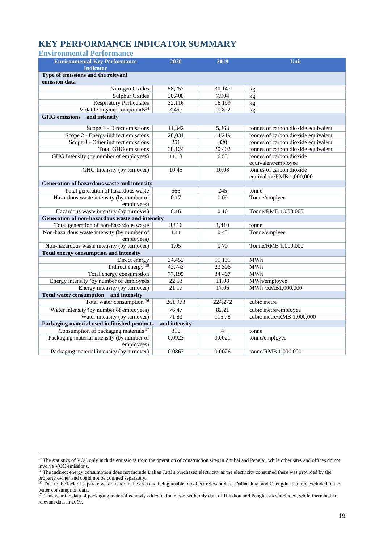# **KEY PERFORMANCE INDICATOR SUMMARY**

| <b>Environmental Performance</b> |  |
|----------------------------------|--|
|                                  |  |

| <b>Environmental Key Performance</b>                          | 2020             | 2019           | Unit                                |
|---------------------------------------------------------------|------------------|----------------|-------------------------------------|
| <b>Indicator</b>                                              |                  |                |                                     |
| Type of emissions and the relevant<br>emission data           |                  |                |                                     |
| Nitrogen Oxides                                               | 58,257           | 30,147         | kg                                  |
| <b>Sulphur Oxides</b>                                         | 20,408           | 7,904          | kg                                  |
| <b>Respiratory Particulates</b>                               | 32,116           | 16,199         | kg                                  |
| Volatile organic compounds <sup>14</sup>                      | 3,457            | 10,872         | kg                                  |
| and intensity<br><b>GHG</b> emissions                         |                  |                |                                     |
| Scope 1 - Direct emissions                                    | 11,842           | 5.863          | tonnes of carbon dioxide equivalent |
| Scope 2 - Energy indirect emissions                           | 26,031           | 14,219         | tonnes of carbon dioxide equivalent |
| Scope 3 - Other indirect emissions                            | $\overline{251}$ | 320            | tonnes of carbon dioxide equivalent |
| <b>Total GHG emissions</b>                                    | 38,124           | 20,402         | tonnes of carbon dioxide equivalent |
| GHG Intensity (by number of employees)                        | 11.13            | 6.55           | tonnes of carbon dioxide            |
|                                                               |                  |                | equivalent/employee                 |
| GHG Intensity (by turnover)                                   | 10.45            | 10.08          | tonnes of carbon dioxide            |
|                                                               |                  |                | equivalent/RMB 1,000,000            |
| Generation of hazardous waste and intensity                   |                  |                |                                     |
| Total generation of hazardous waste                           | 566              | 245            | tonne                               |
| Hazardous waste intensity (by number of                       | 0.17             | 0.09           | Tonne/emplyee                       |
| employees)                                                    |                  |                |                                     |
| Hazardous waste intensity (by turnover)                       | 0.16             | 0.16           | Tonne/RMB 1,000,000                 |
| Generation of non-hazardous waste and intensity               |                  |                |                                     |
| Total generation of non-hazardous waste                       | 3,816            | 1,410          | tonne                               |
| Non-hazardous waste intensity (by number of                   | 1.11             | 0.45           | Tonne/emplyee                       |
| employees)                                                    |                  |                |                                     |
| Non-hazardous waste intensity (by turnover)                   | 1.05             | 0.70           | Tonne/RMB 1,000,000                 |
| <b>Total energy consumption and intensity</b>                 |                  |                |                                     |
| Direct energy                                                 | 34,452           | 11,191         | MWh                                 |
| Indirect energy <sup>15</sup>                                 | 42,743           | 23,306         | MWh                                 |
| Total energy consumption                                      | 77,195           | 34,497         | MWh                                 |
| Energy intensity (by number of employees                      | 22.53            | 11.08          | MWh/employee                        |
| Energy intensity (by turnover)                                | 21.17            | 17.06          | MWh/RMB1,000,000                    |
| Total water consumption and intensity                         |                  |                |                                     |
| Total water consumption 16                                    | 261,973          | 224,272        | cubic metre                         |
| Water intensity (by number of employees)                      | 76.47            | 82.21          | cubic metre/employee                |
| Water intensity (by turnover)                                 | 71.83            | 115.78         | cubic metre/RMB 1,000,000           |
| Packaging material used in finished products<br>and intensity |                  |                |                                     |
| Consumption of packaging materials <sup>17</sup>              | 316              | $\overline{4}$ | tonne                               |
| Packaging material intensity (by number of<br>employees)      | 0.0923           | 0.0021         | tonne/employee                      |
| Packaging material intensity (by turnover)                    | 0.0867           | 0.0026         | tonne/RMB 1,000,000                 |

<sup>&</sup>lt;sup>14</sup> The statistics of VOC only include emissions from the operation of construction sites in Zhuhai and Penglai, while other sites and offices do not involve VOC emissions.

<sup>&</sup>lt;sup>15</sup> The indirect energy consumption does not include Dalian Jutal's purchased electricity as the electricity consumed there was provided by the

property owner and could not be counted separately.<br><sup>16</sup> Due to the lack of separate water meter in the area and being unable to collect relevant data, Dalian Jutal and Chengdu Jutal are excluded in the

water consumption data.<br><sup>17</sup> This year the data of packaging material is newly added in the report with only data of Huizhou and Penglai sites included, while there had no relevant data in 2019.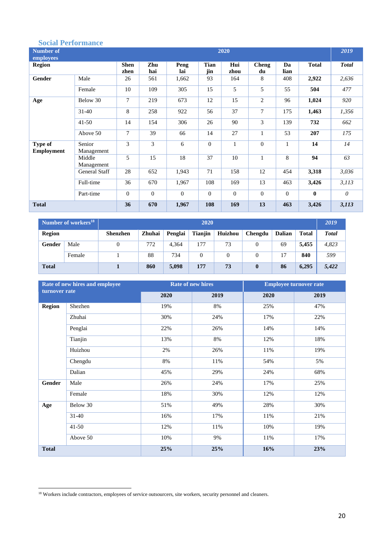#### **Social Performance**

| OVVIMA A VLAVAAAMAAVV<br><b>Number of</b><br>employees | 2020                 |                     |              |              |                    |              |                    |              |              |              |
|--------------------------------------------------------|----------------------|---------------------|--------------|--------------|--------------------|--------------|--------------------|--------------|--------------|--------------|
| <b>Region</b>                                          |                      | <b>Shen</b><br>zhen | Zhu<br>hai   | Peng<br>lai  | <b>Tian</b><br>jin | Hui<br>zhou  | <b>Cheng</b><br>du | Da<br>lian   | <b>Total</b> | <b>Total</b> |
| Gender                                                 | Male                 | 26                  | 561          | 1,662        | 93                 | 164          | 8                  | 408          | 2,922        | 2,636        |
|                                                        | Female               | 10                  | 109          | 305          | 15                 | 5            | 5                  | 55           | 504          | 477          |
| Age                                                    | Below 30             | $\tau$              | 219          | 673          | 12                 | 15           | $\overline{2}$     | 96           | 1,024        | 920          |
|                                                        | $31-40$              | 8                   | 258          | 922          | 56                 | 37           | $\overline{7}$     | 175          | 1,463        | 1,356        |
|                                                        | $41 - 50$            | 14                  | 154          | 306          | 26                 | 90           | 3                  | 139          | 732          | 662          |
|                                                        | Above 50             | $\tau$              | 39           | 66           | 14                 | 27           | $\mathbf{1}$       | 53           | 207          | 175          |
| Type of<br><b>Employment</b>                           | Senior<br>Management | 3                   | 3            | 6            | $\mathbf{0}$       | $\mathbf{1}$ | $\overline{0}$     | $\mathbf{1}$ | 14           | 14           |
|                                                        | Middle<br>Management | 5                   | 15           | 18           | 37                 | 10           | $\mathbf{1}$       | 8            | 94           | 63           |
|                                                        | <b>General Staff</b> | 28                  | 652          | 1,943        | 71                 | 158          | 12                 | 454          | 3,318        | 3,036        |
|                                                        | Full-time            | 36                  | 670          | 1,967        | 108                | 169          | 13                 | 463          | 3,426        | 3, 113       |
|                                                        | Part-time            | $\theta$            | $\mathbf{0}$ | $\mathbf{0}$ | $\theta$           | $\Omega$     | $\overline{0}$     | $\mathbf{0}$ | $\mathbf{0}$ | $\theta$     |
| <b>Total</b>                                           |                      | 36                  | 670          | 1,967        | 108                | 169          | 13                 | 463          | 3,426        | 3,113        |

|               | Number of workers <sup>18</sup> | 2020            |        |         |                |         |          |               |              | 2019         |
|---------------|---------------------------------|-----------------|--------|---------|----------------|---------|----------|---------------|--------------|--------------|
| <b>Region</b> |                                 | <b>Shenzhen</b> | Zhuhai | Penglai | <b>Tianjin</b> | Huizhou | Chengdu  | <b>Dalian</b> | <b>Total</b> | <b>Total</b> |
| Gender        | Male                            |                 | 772    | 4,364   | 177            | 73      |          | 69            | 5,455        | 4,823        |
|               | Female                          |                 | 88     | 734     | 0              |         |          | 17            | 840          | 599          |
| <b>Total</b>  |                                 |                 | 860    | 5,098   | 177            | 73      | $\bf{0}$ | 86            | 6,295        | 5,422        |

|               | Rate of new hires and employee |      | <b>Rate of new hires</b> | <b>Employee turnover rate</b> |      |  |
|---------------|--------------------------------|------|--------------------------|-------------------------------|------|--|
| turnover rate |                                | 2020 | 2019                     | 2020                          | 2019 |  |
| <b>Region</b> | Shezhen                        | 19%  | 8%                       | 25%                           | 47%  |  |
|               | Zhuhai                         | 30%  | 24%                      | 17%                           | 22%  |  |
|               | Penglai                        | 22%  | 26%                      | 14%                           | 14%  |  |
|               | Tianjin                        | 13%  | 8%                       | 12%                           | 18%  |  |
|               | Huizhou                        | 2%   | 26%                      | 11%                           | 19%  |  |
|               | Chengdu                        | 8%   | 11%                      | 54%                           | 5%   |  |
|               | Dalian                         | 45%  | 29%                      | 24%                           | 68%  |  |
| Gender        | Male                           | 26%  | 24%                      | 17%                           | 25%  |  |
|               | Female                         | 18%  | 30%                      | 12%                           | 12%  |  |
| Age           | Below 30                       | 51%  | 49%                      | 28%                           | 30%  |  |
|               | $31 - 40$                      | 16%  | 17%                      | 11%                           | 21%  |  |
|               | $41 - 50$                      | 12%  | 11%                      | 10%                           | 19%  |  |
|               | Above 50                       | 10%  | 9%                       | 11%                           | 17%  |  |
| <b>Total</b>  |                                | 25%  | 25%                      | 16%                           | 23%  |  |

<sup>&</sup>lt;sup>18</sup> Workers include contractors, employees of service outsourcers, site workers, security personnel and cleaners.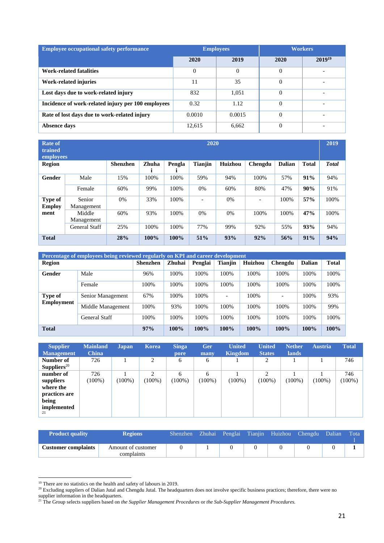| <b>Employee occupational safety performance</b>    |        | <b>Employees</b> | <b>Workers</b> |             |  |
|----------------------------------------------------|--------|------------------|----------------|-------------|--|
|                                                    | 2020   | 2019             | 2020           | $2019^{19}$ |  |
| Work-related fatalities                            | 0      | $\overline{0}$   | $\theta$       |             |  |
| Work-related injuries                              | 11     | 35               | $\Omega$       |             |  |
| Lost days due to work-related injury               | 832    | 1,051            |                |             |  |
| Incidence of work-related injury per 100 employees | 0.32   | 1.12             | $\Omega$       |             |  |
| Rate of lost days due to work-related injury       | 0.0010 | 0.0015           | $\Omega$       |             |  |
| Absence days                                       | 12,615 | 6,662            | $\theta$       | -           |  |

| 2020<br><b>Rate of</b><br>trained<br>employees |                      |                 |       |        |                |                |         |               |              | 2019         |
|------------------------------------------------|----------------------|-----------------|-------|--------|----------------|----------------|---------|---------------|--------------|--------------|
| Region                                         |                      | <b>Shenzhen</b> | Zhuha | Pengla | <b>Tianjin</b> | <b>Huizhou</b> | Chengdu | <b>Dalian</b> | <b>Total</b> | <b>Total</b> |
| Gender                                         | Male                 | 15%             | 100%  | 100%   | 59%            | 94%            | 100%    | 57%           | 91%          | 94%          |
|                                                | Female               | 60%             | 99%   | 100%   | 0%             | 60%            | 80%     | 47%           | 90%          | 91%          |
| Type of<br><b>Employ</b>                       | Senior<br>Management | 0%              | 33%   | 100%   |                | 0%             | -       | 100%          | 57%          | 100%         |
| ment                                           | Middle<br>Management | 60%             | 93%   | 100%   | $0\%$          | 0%             | 100%    | 100%          | 47%          | 100%         |
|                                                | General Staff        | 25%             | 100%  | 100%   | 77%            | 99%            | 92%     | 55%           | 93%          | 94%          |
| <b>Total</b>                                   |                      | 28%             | 100%  | 100%   | 51%            | 93%            | 92%     | 56%           | 91%          | 94%          |

| Percentage of employees being reviewed regularly on KPI and career development |                      |                 |        |         |                |                |         |               |              |
|--------------------------------------------------------------------------------|----------------------|-----------------|--------|---------|----------------|----------------|---------|---------------|--------------|
| <b>Region</b>                                                                  |                      | <b>Shenzhen</b> | Zhuhai | Penglai | <b>Tianjin</b> | <b>Huizhou</b> | Chengdu | <b>Dalian</b> | <b>Total</b> |
| Gender                                                                         | Male                 | 96%             | 100%   | 100%    | 100%           | 100%           | 100%    | 100%          | 100%         |
|                                                                                | Female               | 100%            | 100%   | 100%    | 100%           | 100%           | 100%    | 100%          | 100%         |
| Type of<br>Employment                                                          | Senior Management    | 67%             | 100%   | 100%    | ۰              | 100%           |         | 100%          | 93%          |
|                                                                                | Middle Management    | 100%            | 93%    | 100%    | 100%           | 100%           | 100%    | 100%          | 99%          |
|                                                                                | <b>General Staff</b> | 100%            | 100%   | 100%    | 100%           | 100%           | 100%    | 100%          | 100%         |
| <b>Total</b>                                                                   |                      | 97%             | 100%   | 100%    | 100%           | 100%           | $100\%$ | 100%          | 100%         |

| <b>Supplier</b><br><b>Management</b>                                               | <b>Mainland</b><br><b>China</b> | <b>Japan</b> | Korea                      | <b>Singa</b><br>pore | Ger<br>many    | <b>United</b><br>Kingdom | <b>United</b><br><b>States</b> | <b>Nether</b><br><b>lands</b> | <b>Austria</b> | <b>Total</b>     |
|------------------------------------------------------------------------------------|---------------------------------|--------------|----------------------------|----------------------|----------------|--------------------------|--------------------------------|-------------------------------|----------------|------------------|
| Number of<br>Suppliers <sup>20</sup>                                               | 726                             |              | 2                          | 6                    | 6              |                          | 2                              |                               |                | 746              |
| number of<br>suppliers<br>where the<br>practices are<br>being<br>implemented<br>21 | 726<br>$(100\%)$                | $(100\%)$    | $\mathcal{L}$<br>$(100\%)$ | 6<br>$(100\%)$       | 6<br>$(100\%)$ | $(100\%)$                | ↑<br>$(100\%)$                 | $(100\%)$                     | $(100\%)$      | 746<br>$(100\%)$ |

| <b>Product quality</b>     | <b>Regions</b>                   |  |  | Shenzhen Zhuhai Penglai Tianjin Huizhou Chengdu Dalian | Tota |
|----------------------------|----------------------------------|--|--|--------------------------------------------------------|------|
| <b>Customer complaints</b> | Amount of customer<br>complaints |  |  |                                                        |      |

<sup>&</sup>lt;sup>19</sup> There are no statistics on the health and safety of labours in 2019.

 $20$  Excluding suppliers of Dalian Jutal and Chengdu Jutal. The headquarters does not involve specific business practices; therefore, there were no supplier information in the headquarters.

<sup>21</sup> The Group selects suppliers based on *the Supplier Management Procedures* or *the Sub-Supplier Management Procedures.*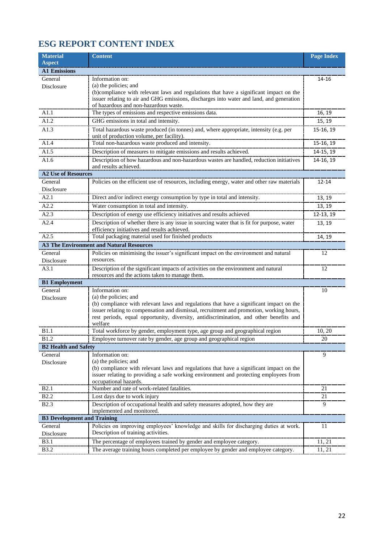# **ESG REPORT CONTENT INDEX**

| <b>Material</b>                    | <b>Content</b>                                                                                                                                                                      | <b>Page Index</b>      |
|------------------------------------|-------------------------------------------------------------------------------------------------------------------------------------------------------------------------------------|------------------------|
| <b>Aspect</b>                      |                                                                                                                                                                                     |                        |
| <b>A1 Emissions</b>                |                                                                                                                                                                                     |                        |
| General                            | Information on:<br>(a) the policies; and                                                                                                                                            | 14-16                  |
| Disclosure                         | (b)compliance with relevant laws and regulations that have a significant impact on the                                                                                              |                        |
|                                    | issuer relating to air and GHG emissions, discharges into water and land, and generation                                                                                            |                        |
|                                    | of hazardous and non-hazardous waste.                                                                                                                                               |                        |
| A1.1                               | The types of emissions and respective emissions data.                                                                                                                               | 16, 19                 |
| A1.2                               | GHG emissions in total and intensity.                                                                                                                                               | 15, 19                 |
| A1.3                               | Total hazardous waste produced (in tonnes) and, where appropriate, intensity (e.g. per                                                                                              | 15-16, 19              |
| A1.4                               | unit of production volume, per facility).<br>Total non-hazardous waste produced and intensity.                                                                                      | 15-16, 19              |
| A1.5                               | Description of measures to mitigate emissions and results achieved.                                                                                                                 |                        |
| A1.6                               | Description of how hazardous and non-hazardous wastes are handled, reduction initiatives                                                                                            | 14-15, 19<br>14-16, 19 |
|                                    | and results achieved.                                                                                                                                                               |                        |
| <b>A2 Use of Resources</b>         |                                                                                                                                                                                     |                        |
| General                            | Policies on the efficient use of resources, including energy, water and other raw materials                                                                                         | 12-14                  |
| Disclosure                         |                                                                                                                                                                                     |                        |
| A2.1                               | Direct and/or indirect energy consumption by type in total and intensity.                                                                                                           | 13, 19                 |
| A2.2                               | Water consumption in total and intensity.                                                                                                                                           | 13, 19                 |
| A2.3                               | Description of energy use efficiency initiatives and results achieved                                                                                                               | 12-13, 19              |
| A2.4                               | Description of whether there is any issue in sourcing water that is fit for purpose, water                                                                                          | 13, 19                 |
|                                    | efficiency initiatives and results achieved.                                                                                                                                        |                        |
| A <sub>2.5</sub>                   | Total packaging material used for finished products                                                                                                                                 | 14, 19                 |
|                                    | <b>A3 The Environment and Natural Resources</b>                                                                                                                                     |                        |
| General<br>Disclosure              | Policies on minimising the issuer's significant impact on the environment and natural<br>resources.                                                                                 | 12                     |
| A3.1                               | Description of the significant impacts of activities on the environment and natural                                                                                                 | 12                     |
|                                    | resources and the actions taken to manage them.                                                                                                                                     |                        |
| <b>B1</b> Employment               |                                                                                                                                                                                     |                        |
| General                            | Information on:                                                                                                                                                                     | 10                     |
| Disclosure                         | (a) the policies; and                                                                                                                                                               |                        |
|                                    | (b) compliance with relevant laws and regulations that have a significant impact on the<br>issuer relating to compensation and dismissal, recruitment and promotion, working hours, |                        |
|                                    | rest periods, equal opportunity, diversity, antidiscrimination, and other benefits and                                                                                              |                        |
|                                    | welfare                                                                                                                                                                             |                        |
| <b>B</b> 1.1                       | Total workforce by gender, employment type, age group and geographical region                                                                                                       | 10, 20                 |
| <b>B1.2</b>                        | Employee turnover rate by gender, age group and geographical region                                                                                                                 | 20                     |
| <b>B2 Health and Safety</b>        |                                                                                                                                                                                     |                        |
| General                            | Information on:<br>(a) the policies; and                                                                                                                                            | 9                      |
| Disclosure                         | (b) compliance with relevant laws and regulations that have a significant impact on the                                                                                             |                        |
|                                    | issuer relating to providing a safe working environment and protecting employees from                                                                                               |                        |
|                                    | occupational hazards.                                                                                                                                                               |                        |
| <b>B2.1</b>                        | Number and rate of work-related fatalities.                                                                                                                                         | 21                     |
| <b>B2.2</b>                        | Lost days due to work injury                                                                                                                                                        | 21                     |
| <b>B2.3</b>                        | Description of occupational health and safety measures adopted, how they are<br>implemented and monitored.                                                                          | 9                      |
| <b>B3 Development and Training</b> |                                                                                                                                                                                     |                        |
| General                            | Policies on improving employees' knowledge and skills for discharging duties at work.                                                                                               | 11                     |
| Disclosure                         | Description of training activities.                                                                                                                                                 |                        |
| B3.1                               | The percentage of employees trained by gender and employee category.                                                                                                                | 11, 21                 |
| B3.2                               | The average training hours completed per employee by gender and employee category.                                                                                                  | 11, 21                 |